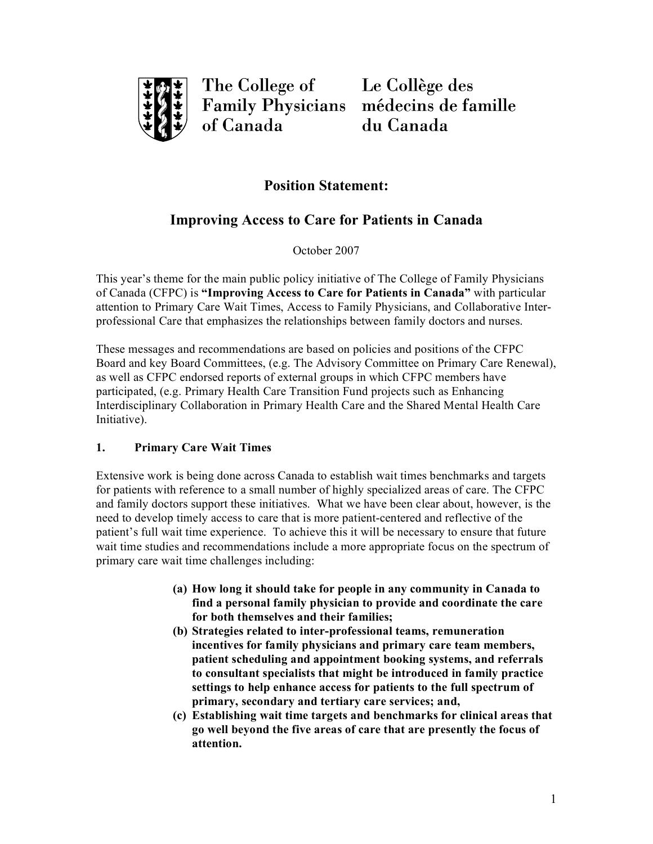

The College of Le Collège des of Canada

Family Physicians médecins de famille du Canada

## **Position Statement:**

# **Improving Access to Care for Patients in Canada**

October 2007

 This year's theme for the main public policy initiative of The College of Family Physicians of Canada (CFPC) is **"Improving Access to Care for Patients in Canada"** with particular attention to Primary Care Wait Times, Access to Family Physicians, and Collaborative Inter-professional Care that emphasizes the relationships between family doctors and nurses.

 These messages and recommendations are based on policies and positions of the CFPC Board and key Board Committees, (e.g. The Advisory Committee on Primary Care Renewal), as well as CFPC endorsed reports of external groups in which CFPC members have participated, (e.g. Primary Health Care Transition Fund projects such as Enhancing Interdisciplinary Collaboration in Primary Health Care and the Shared Mental Health Care Initiative).

### **1. Primary Care Wait Times**

 Extensive work is being done across Canada to establish wait times benchmarks and targets for patients with reference to a small number of highly specialized areas of care. The CFPC and family doctors support these initiatives. What we have been clear about, however, is the need to develop timely access to care that is more patient-centered and reflective of the patient's full wait time experience. To achieve this it will be necessary to ensure that future wait time studies and recommendations include a more appropriate focus on the spectrum of primary care wait time challenges including:

- **(a) How long it should take for people in any community in Canada to find a personal family physician to provide and coordinate the care for both themselves and their families;**
- **(b) Strategies related to inter-professional teams, remuneration incentives for family physicians and primary care team members, patient scheduling and appointment booking systems, and referrals to consultant specialists that might be introduced in family practice settings to help enhance access for patients to the full spectrum of primary, secondary and tertiary care services; and,**
- **(c) Establishing wait time targets and benchmarks for clinical areas that go well beyond the five areas of care that are presently the focus of attention.**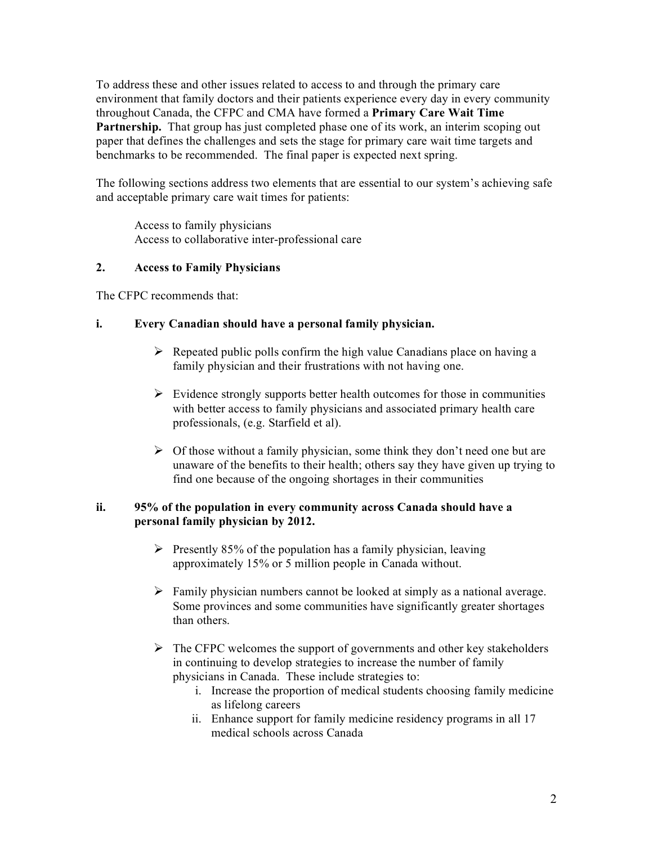To address these and other issues related to access to and through the primary care environment that family doctors and their patients experience every day in every community throughout Canada, the CFPC and CMA have formed a **Primary Care Wait Time**  Partnership. That group has just completed phase one of its work, an interim scoping out paper that defines the challenges and sets the stage for primary care wait time targets and benchmarks to be recommended. The final paper is expected next spring.

 The following sections address two elements that are essential to our system's achieving safe and acceptable primary care wait times for patients:

 Access to family physicians Access to collaborative inter-professional care

#### **2. Access to Family Physicians**

The CFPC recommends that:

#### **i. Every Canadian should have a personal family physician.**

- $\triangleright$  Repeated public polls confirm the high value Canadians place on having a family physician and their frustrations with not having one.
- $\triangleright$  Evidence strongly supports better health outcomes for those in communities with better access to family physicians and associated primary health care professionals, (e.g. Starfield et al).
- $\triangleright$  Of those without a family physician, some think they don't need one but are unaware of the benefits to their health; others say they have given up trying to find one because of the ongoing shortages in their communities

#### **ii. 95% of the population in every community across Canada should have a personal family physician by 2012.**

- $\triangleright$  Presently 85% of the population has a family physician, leaving approximately 15% or 5 million people in Canada without.
- $\triangleright$  Family physician numbers cannot be looked at simply as a national average. Some provinces and some communities have significantly greater shortages than others.
- $\triangleright$  The CFPC welcomes the support of governments and other key stakeholders in continuing to develop strategies to increase the number of family physicians in Canada. These include strategies to:
	- i. Increase the proportion of medical students choosing family medicine as lifelong careers
	- ii. Enhance support for family medicine residency programs in all 17 medical schools across Canada